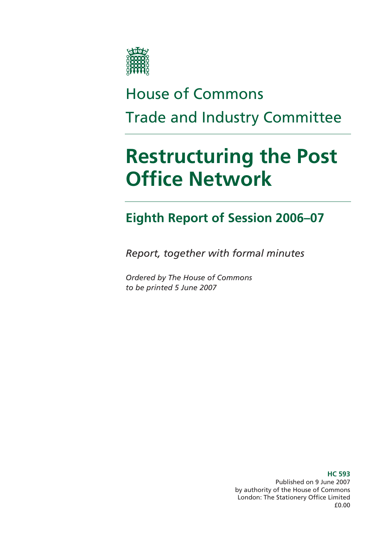

# House of Commons Trade and Industry Committee

# **Restructuring the Post Office Network**

# **Eighth Report of Session 2006–07**

*Report, together with formal minutes* 

*Ordered by The House of Commons to be printed 5 June 2007* 

> **HC 593**  Published on 9 June 2007 by authority of the House of Commons London: The Stationery Office Limited £0.00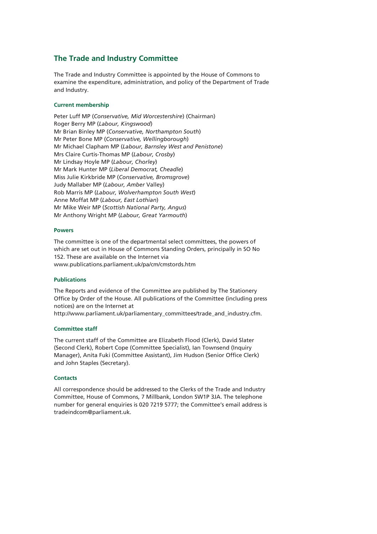#### **The Trade and Industry Committee**

The Trade and Industry Committee is appointed by the House of Commons to examine the expenditure, administration, and policy of the Department of Trade and Industry.

#### **Current membership**

Peter Luff MP (*Conservative, Mid Worcestershire*) (Chairman) Roger Berry MP (*Labour, Kingswood*) Mr Brian Binley MP (*Conservative, Northampton South*) Mr Peter Bone MP (*Conservative, Wellingborough*) Mr Michael Clapham MP (*Labour, Barnsley West and Penistone*) Mrs Claire Curtis-Thomas MP (*Labour, Crosby*) Mr Lindsay Hoyle MP (*Labour, Chorley*) Mr Mark Hunter MP (*Liberal Democrat, Cheadle*) Miss Julie Kirkbride MP (*Conservative, Bromsgrove*) Judy Mallaber MP (*Labour, Amber* Valley) Rob Marris MP (*Labour, Wolverhampton South West*) Anne Moffat MP (*Labour, East Lothian*) Mr Mike Weir MP (*Scottish National Party, Angus*) Mr Anthony Wright MP (*Labour, Great Yarmouth*)

#### **Powers**

The committee is one of the departmental select committees, the powers of which are set out in House of Commons Standing Orders, principally in SO No 152. These are available on the Internet via www.publications.parliament.uk/pa/cm/cmstords.htm

#### **Publications**

The Reports and evidence of the Committee are published by The Stationery Office by Order of the House. All publications of the Committee (including press notices) are on the Internet at

http://www.parliament.uk/parliamentary\_committees/trade\_and\_industry.cfm.

#### **Committee staff**

The current staff of the Committee are Elizabeth Flood (Clerk), David Slater (Second Clerk), Robert Cope (Committee Specialist), Ian Townsend (Inquiry Manager), Anita Fuki (Committee Assistant), Jim Hudson (Senior Office Clerk) and John Staples (Secretary).

#### **Contacts**

All correspondence should be addressed to the Clerks of the Trade and Industry Committee, House of Commons, 7 Millbank, London SW1P 3JA. The telephone number for general enquiries is 020 7219 5777; the Committee's email address is tradeindcom@parliament.uk.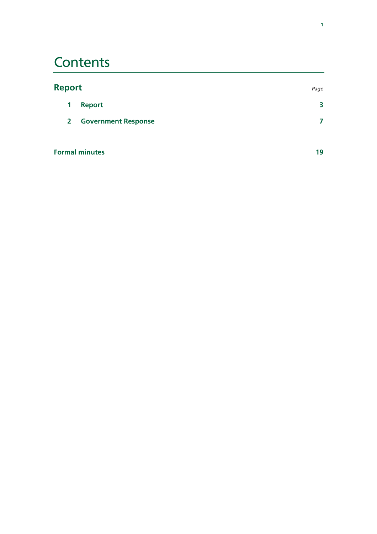# **Contents**

| <b>Report</b> |                            | Page |
|---------------|----------------------------|------|
| 1             | <b>Report</b>              | 3    |
| $\mathbf{2}$  | <b>Government Response</b> |      |
|               | <b>Formal minutes</b>      | 19   |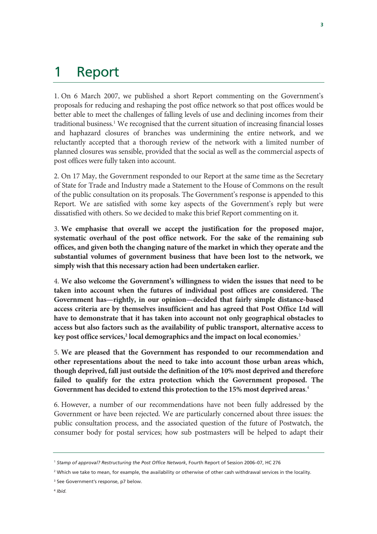## 1 Report

1. On 6 March 2007, we published a short Report commenting on the Government's proposals for reducing and reshaping the post office network so that post offices would be better able to meet the challenges of falling levels of use and declining incomes from their traditional business.<sup>1</sup> We recognised that the current situation of increasing financial losses and haphazard closures of branches was undermining the entire network, and we reluctantly accepted that a thorough review of the network with a limited number of planned closures was sensible, provided that the social as well as the commercial aspects of post offices were fully taken into account.

2. On 17 May, the Government responded to our Report at the same time as the Secretary of State for Trade and Industry made a Statement to the House of Commons on the result of the public consultation on its proposals. The Government's response is appended to this Report. We are satisfied with some key aspects of the Government's reply but were dissatisfied with others. So we decided to make this brief Report commenting on it.

3. **We emphasise that overall we accept the justification for the proposed major, systematic overhaul of the post office network. For the sake of the remaining sub offices, and given both the changing nature of the market in which they operate and the substantial volumes of government business that have been lost to the network, we simply wish that this necessary action had been undertaken earlier.** 

4. **We also welcome the Government's willingness to widen the issues that need to be taken into account when the futures of individual post offices are considered. The Government has—rightly, in our opinion—decided that fairly simple distance-based access criteria are by themselves insufficient and has agreed that Post Office Ltd will have to demonstrate that it has taken into account not only geographical obstacles to access but also factors such as the availability of public transport, alternative access to**  key post office services,<sup>2</sup> local demographics and the impact on local economies.<sup>3</sup>

5. **We are pleased that the Government has responded to our recommendation and other representations about the need to take into account those urban areas which, though deprived, fall just outside the definition of the 10% most deprived and therefore failed to qualify for the extra protection which the Government proposed. The Government has decided to extend this protection to the 15% most deprived areas**. 4

6. However, a number of our recommendations have not been fully addressed by the Government or have been rejected. We are particularly concerned about three issues: the public consultation process, and the associated question of the future of Postwatch, the consumer body for postal services; how sub postmasters will be helped to adapt their

<sup>1</sup> *Stamp of approval? Restructuring the Post Office Network*, Fourth Report of Session 2006–07, HC 276

<sup>2</sup> Which we take to mean, for example, the availability or otherwise of other cash withdrawal services in the locality.

<sup>&</sup>lt;sup>3</sup> See Government's response, p7 below.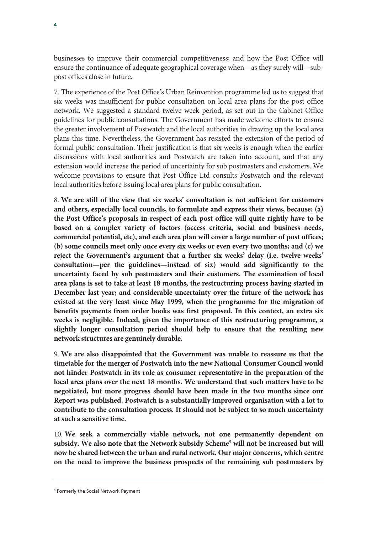businesses to improve their commercial competitiveness; and how the Post Office will ensure the continuance of adequate geographical coverage when—as they surely will—subpost offices close in future.

7. The experience of the Post Office's Urban Reinvention programme led us to suggest that six weeks was insufficient for public consultation on local area plans for the post office network. We suggested a standard twelve week period, as set out in the Cabinet Office guidelines for public consultations. The Government has made welcome efforts to ensure the greater involvement of Postwatch and the local authorities in drawing up the local area plans this time. Nevertheless, the Government has resisted the extension of the period of formal public consultation. Their justification is that six weeks is enough when the earlier discussions with local authorities and Postwatch are taken into account, and that any extension would increase the period of uncertainty for sub postmasters and customers. We welcome provisions to ensure that Post Office Ltd consults Postwatch and the relevant local authorities before issuing local area plans for public consultation.

8. **We are still of the view that six weeks' consultation is not sufficient for customers and others, especially local councils, to formulate and express their views, because: (a) the Post Office's proposals in respect of each post office will quite rightly have to be based on a complex variety of factors (access criteria, social and business needs, commercial potential, etc), and each area plan will cover a large number of post offices; (b) some councils meet only once every six weeks or even every two months; and (c) we reject the Government's argument that a further six weeks' delay (i.e. twelve weeks' consultation—per the guidelines—instead of six) would add significantly to the uncertainty faced by sub postmasters and their customers. The examination of local area plans is set to take at least 18 months, the restructuring process having started in December last year; and considerable uncertainty over the future of the network has existed at the very least since May 1999, when the programme for the migration of benefits payments from order books was first proposed. In this context, an extra six weeks is negligible. Indeed, given the importance of this restructuring programme, a slightly longer consultation period should help to ensure that the resulting new network structures are genuinely durable.**

9. **We are also disappointed that the Government was unable to reassure us that the timetable for the merger of Postwatch into the new National Consumer Council would not hinder Postwatch in its role as consumer representative in the preparation of the local area plans over the next 18 months. We understand that such matters have to be negotiated, but more progress should have been made in the two months since our Report was published. Postwatch is a substantially improved organisation with a lot to contribute to the consultation process. It should not be subject to so much uncertainty at such a sensitive time.** 

10. **We seek a commercially viable network, not one permanently dependent on subsidy. We also note that the Network Subsidy Scheme**<sup>5</sup>  **will not be increased but will now be shared between the urban and rural network. Our major concerns, which centre on the need to improve the business prospects of the remaining sub postmasters by** 

<sup>5</sup> Formerly the Social Network Payment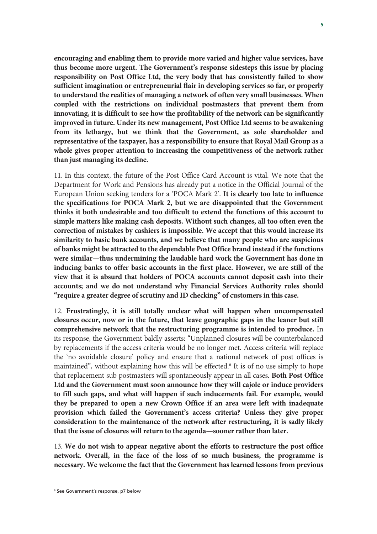**encouraging and enabling them to provide more varied and higher value services, have thus become more urgent. The Government's response sidesteps this issue by placing responsibility on Post Office Ltd, the very body that has consistently failed to show sufficient imagination or entrepreneurial flair in developing services so far, or properly to understand the realities of managing a network of often very small businesses. When coupled with the restrictions on individual postmasters that prevent them from innovating, it is difficult to see how the profitability of the network can be significantly improved in future. Under its new management, Post Office Ltd seems to be awakening from its lethargy, but we think that the Government, as sole shareholder and representative of the taxpayer, has a responsibility to ensure that Royal Mail Group as a whole gives proper attention to increasing the competitiveness of the network rather than just managing its decline.**

11. In this context, the future of the Post Office Card Account is vital. We note that the Department for Work and Pensions has already put a notice in the Official Journal of the European Union seeking tenders for a 'POCA Mark 2'. **It is clearly too late to influence the specifications for POCA Mark 2, but we are disappointed that the Government thinks it both undesirable and too difficult to extend the functions of this account to simple matters like making cash deposits. Without such changes, all too often even the correction of mistakes by cashiers is impossible. We accept that this would increase its similarity to basic bank accounts, and we believe that many people who are suspicious of banks might be attracted to the dependable Post Office brand instead if the functions were similar—thus undermining the laudable hard work the Government has done in inducing banks to offer basic accounts in the first place. However, we are still of the view that it is absurd that holders of POCA accounts cannot deposit cash into their accounts; and we do not understand why Financial Services Authority rules should "require a greater degree of scrutiny and ID checking" of customers in this case.** 

12. **Frustratingly, it is still totally unclear what will happen when uncompensated closures occur, now or in the future, that leave geographic gaps in the leaner but still comprehensive network that the restructuring programme is intended to produce.** In its response, the Government baldly asserts: "Unplanned closures will be counterbalanced by replacements if the access criteria would be no longer met. Access criteria will replace the 'no avoidable closure' policy and ensure that a national network of post offices is maintained", without explaining how this will be effected.<sup>6</sup> It is of no use simply to hope that replacement sub postmasters will spontaneously appear in all cases. **Both Post Office Ltd and the Government must soon announce how they will cajole or induce providers to fill such gaps, and what will happen if such inducements fail. For example, would they be prepared to open a new Crown Office if an area were left with inadequate provision which failed the Government's access criteria? Unless they give proper consideration to the maintenance of the network after restructuring, it is sadly likely that the issue of closures will return to the agenda—sooner rather than later.** 

13. **We do not wish to appear negative about the efforts to restructure the post office network. Overall, in the face of the loss of so much business, the programme is necessary. We welcome the fact that the Government has learned lessons from previous** 

<sup>6</sup> See Government's response, p7 below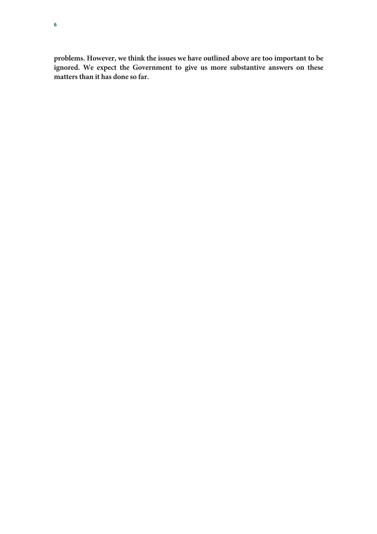**problems. However, we think the issues we have outlined above are too important to be ignored. We expect the Government to give us more substantive answers on these matters than it has done so far.**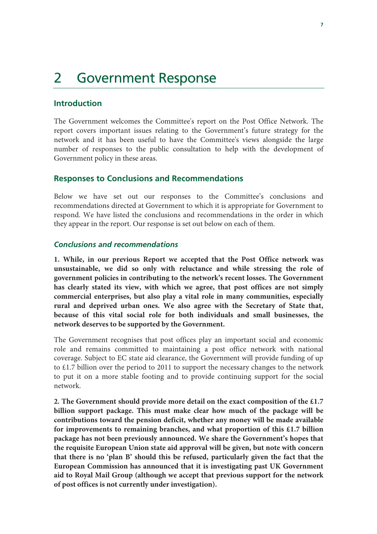# 2 Government Response

#### **Introduction**

The Government welcomes the Committee's report on the Post Office Network. The report covers important issues relating to the Government's future strategy for the network and it has been useful to have the Committee's views alongside the large number of responses to the public consultation to help with the development of Government policy in these areas.

#### **Responses to Conclusions and Recommendations**

Below we have set out our responses to the Committee's conclusions and recommendations directed at Government to which it is appropriate for Government to respond. We have listed the conclusions and recommendations in the order in which they appear in the report. Our response is set out below on each of them.

#### *Conclusions and recommendations*

**1. While, in our previous Report we accepted that the Post Office network was unsustainable, we did so only with reluctance and while stressing the role of government policies in contributing to the network's recent losses. The Government has clearly stated its view, with which we agree, that post offices are not simply commercial enterprises, but also play a vital role in many communities, especially rural and deprived urban ones. We also agree with the Secretary of State that, because of this vital social role for both individuals and small businesses, the network deserves to be supported by the Government.** 

The Government recognises that post offices play an important social and economic role and remains committed to maintaining a post office network with national coverage. Subject to EC state aid clearance, the Government will provide funding of up to £1.7 billion over the period to 2011 to support the necessary changes to the network to put it on a more stable footing and to provide continuing support for the social network.

**2. The Government should provide more detail on the exact composition of the £1.7 billion support package. This must make clear how much of the package will be contributions toward the pension deficit, whether any money will be made available for improvements to remaining branches, and what proportion of this £1.7 billion package has not been previously announced. We share the Government's hopes that the requisite European Union state aid approval will be given, but note with concern that there is no 'plan B' should this be refused, particularly given the fact that the European Commission has announced that it is investigating past UK Government aid to Royal Mail Group (although we accept that previous support for the network of post offices is not currently under investigation).**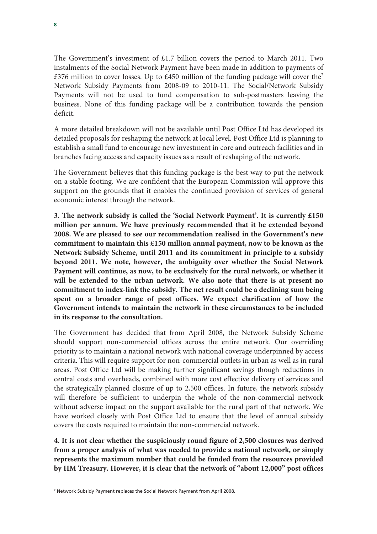The Government's investment of £1.7 billion covers the period to March 2011. Two instalments of the Social Network Payment have been made in addition to payments of £376 million to cover losses. Up to £450 million of the funding package will cover the<sup>7</sup> Network Subsidy Payments from 2008-09 to 2010-11. The Social/Network Subsidy Payments will not be used to fund compensation to sub-postmasters leaving the business. None of this funding package will be a contribution towards the pension deficit.

A more detailed breakdown will not be available until Post Office Ltd has developed its detailed proposals for reshaping the network at local level. Post Office Ltd is planning to establish a small fund to encourage new investment in core and outreach facilities and in branches facing access and capacity issues as a result of reshaping of the network.

The Government believes that this funding package is the best way to put the network on a stable footing. We are confident that the European Commission will approve this support on the grounds that it enables the continued provision of services of general economic interest through the network.

**3. The network subsidy is called the 'Social Network Payment'. It is currently £150 million per annum. We have previously recommended that it be extended beyond 2008. We are pleased to see our recommendation realised in the Government's new commitment to maintain this £150 million annual payment, now to be known as the Network Subsidy Scheme, until 2011 and its commitment in principle to a subsidy beyond 2011. We note, however, the ambiguity over whether the Social Network Payment will continue, as now, to be exclusively for the rural network, or whether it will be extended to the urban network. We also note that there is at present no commitment to index-link the subsidy. The net result could be a declining sum being spent on a broader range of post offices. We expect clarification of how the Government intends to maintain the network in these circumstances to be included in its response to the consultation.** 

The Government has decided that from April 2008, the Network Subsidy Scheme should support non-commercial offices across the entire network. Our overriding priority is to maintain a national network with national coverage underpinned by access criteria. This will require support for non-commercial outlets in urban as well as in rural areas. Post Office Ltd will be making further significant savings though reductions in central costs and overheads, combined with more cost effective delivery of services and the strategically planned closure of up to 2,500 offices. In future, the network subsidy will therefore be sufficient to underpin the whole of the non-commercial network without adverse impact on the support available for the rural part of that network. We have worked closely with Post Office Ltd to ensure that the level of annual subsidy covers the costs required to maintain the non-commercial network.

**4. It is not clear whether the suspiciously round figure of 2,500 closures was derived from a proper analysis of what was needed to provide a national network, or simply represents the maximum number that could be funded from the resources provided by HM Treasury. However, it is clear that the network of "about 12,000" post offices** 

<sup>7</sup> Network Subsidy Payment replaces the Social Network Payment from April 2008.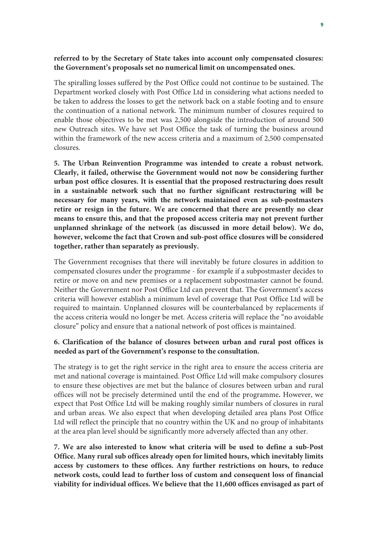### **referred to by the Secretary of State takes into account only compensated closures: the Government's proposals set no numerical limit on uncompensated ones.**

The spiralling losses suffered by the Post Office could not continue to be sustained. The Department worked closely with Post Office Ltd in considering what actions needed to be taken to address the losses to get the network back on a stable footing and to ensure the continuation of a national network. The minimum number of closures required to enable those objectives to be met was 2,500 alongside the introduction of around 500 new Outreach sites. We have set Post Office the task of turning the business around within the framework of the new access criteria and a maximum of 2,500 compensated closures.

**5. The Urban Reinvention Programme was intended to create a robust network. Clearly, it failed, otherwise the Government would not now be considering further urban post office closures. It is essential that the proposed restructuring does result in a sustainable network such that no further significant restructuring will be necessary for many years, with the network maintained even as sub-postmasters retire or resign in the future. We are concerned that there are presently no clear means to ensure this, and that the proposed access criteria may not prevent further unplanned shrinkage of the network (as discussed in more detail below). We do, however, welcome the fact that Crown and sub-post office closures will be considered together, rather than separately as previously.**

The Government recognises that there will inevitably be future closures in addition to compensated closures under the programme - for example if a subpostmaster decides to retire or move on and new premises or a replacement subpostmaster cannot be found. Neither the Government nor Post Office Ltd can prevent that. The Government's access criteria will however establish a minimum level of coverage that Post Office Ltd will be required to maintain. Unplanned closures will be counterbalanced by replacements if the access criteria would no longer be met. Access criteria will replace the "no avoidable closure" policy and ensure that a national network of post offices is maintained.

### **6. Clarification of the balance of closures between urban and rural post offices is needed as part of the Government's response to the consultation.**

The strategy is to get the right service in the right area to ensure the access criteria are met and national coverage is maintained. Post Office Ltd will make compulsory closures to ensure these objectives are met but the balance of closures between urban and rural offices will not be precisely determined until the end of the programme**.** However, we expect that Post Office Ltd will be making roughly similar numbers of closures in rural and urban areas. We also expect that when developing detailed area plans Post Office Ltd will reflect the principle that no country within the UK and no group of inhabitants at the area plan level should be significantly more adversely affected than any other.

**7. We are also interested to know what criteria will be used to define a sub-Post Office. Many rural sub offices already open for limited hours, which inevitably limits access by customers to these offices. Any further restrictions on hours, to reduce network costs, could lead to further loss of custom and consequent loss of financial viability for individual offices. We believe that the 11,600 offices envisaged as part of**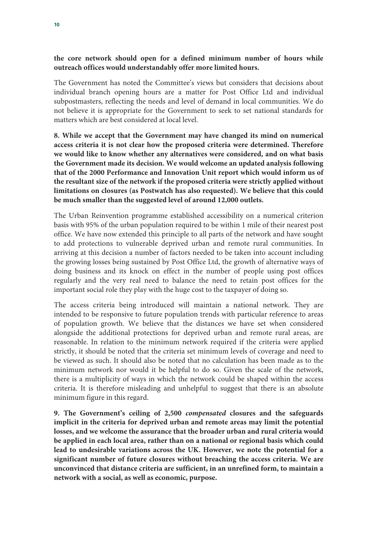### **the core network should open for a defined minimum number of hours while outreach offices would understandably offer more limited hours.**

The Government has noted the Committee's views but considers that decisions about individual branch opening hours are a matter for Post Office Ltd and individual subpostmasters, reflecting the needs and level of demand in local communities. We do not believe it is appropriate for the Government to seek to set national standards for matters which are best considered at local level.

**8. While we accept that the Government may have changed its mind on numerical access criteria it is not clear how the proposed criteria were determined. Therefore we would like to know whether any alternatives were considered, and on what basis the Government made its decision. We would welcome an updated analysis following that of the 2000 Performance and Innovation Unit report which would inform us of the resultant size of the network if the proposed criteria were strictly applied without limitations on closures (as Postwatch has also requested). We believe that this could be much smaller than the suggested level of around 12,000 outlets.** 

The Urban Reinvention programme established accessibility on a numerical criterion basis with 95% of the urban population required to be within 1 mile of their nearest post office. We have now extended this principle to all parts of the network and have sought to add protections to vulnerable deprived urban and remote rural communities. In arriving at this decision a number of factors needed to be taken into account including the growing losses being sustained by Post Office Ltd, the growth of alternative ways of doing business and its knock on effect in the number of people using post offices regularly and the very real need to balance the need to retain post offices for the important social role they play with the huge cost to the taxpayer of doing so.

The access criteria being introduced will maintain a national network. They are intended to be responsive to future population trends with particular reference to areas of population growth. We believe that the distances we have set when considered alongside the additional protections for deprived urban and remote rural areas, are reasonable. In relation to the minimum network required if the criteria were applied strictly, it should be noted that the criteria set minimum levels of coverage and need to be viewed as such. It should also be noted that no calculation has been made as to the minimum network nor would it be helpful to do so. Given the scale of the network, there is a multiplicity of ways in which the network could be shaped within the access criteria. It is therefore misleading and unhelpful to suggest that there is an absolute minimum figure in this regard.

**9. The Government's ceiling of 2,500** *compensated* **closures and the safeguards implicit in the criteria for deprived urban and remote areas may limit the potential losses, and we welcome the assurance that the broader urban and rural criteria would be applied in each local area, rather than on a national or regional basis which could lead to undesirable variations across the UK. However, we note the potential for a significant number of future closures without breaching the access criteria. We are unconvinced that distance criteria are sufficient, in an unrefined form, to maintain a network with a social, as well as economic, purpose.**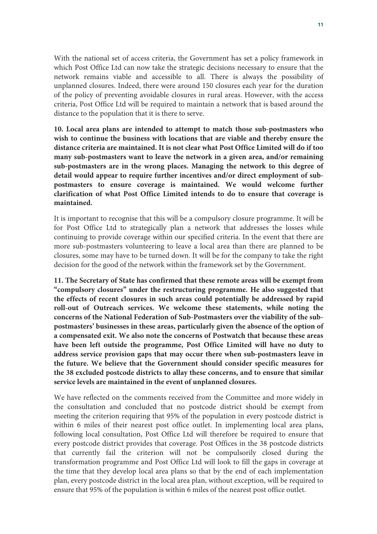With the national set of access criteria, the Government has set a policy framework in which Post Office Ltd can now take the strategic decisions necessary to ensure that the network remains viable and accessible to all. There is always the possibility of unplanned closures. Indeed, there were around 150 closures each year for the duration of the policy of preventing avoidable closures in rural areas. However, with the access criteria, Post Office Ltd will be required to maintain a network that is based around the distance to the population that it is there to serve.

**10. Local area plans are intended to attempt to match those sub-postmasters who wish to continue the business with locations that are viable and thereby ensure the distance criteria are maintained. It is not clear what Post Office Limited will do if too many sub-postmasters want to leave the network in a given area, and/or remaining sub-postmasters are in the wrong places. Managing the network to this degree of detail would appear to require further incentives and/or direct employment of subpostmasters to ensure coverage is maintained. We would welcome further clarification of what Post Office Limited intends to do to ensure that coverage is maintained.** 

It is important to recognise that this will be a compulsory closure programme. It will be for Post Office Ltd to strategically plan a network that addresses the losses while continuing to provide coverage within our specified criteria. In the event that there are more sub-postmasters volunteering to leave a local area than there are planned to be closures, some may have to be turned down. It will be for the company to take the right decision for the good of the network within the framework set by the Government.

**11. The Secretary of State has confirmed that these remote areas will be exempt from "compulsory closures" under the restructuring programme. He also suggested that the effects of recent closures in such areas could potentially be addressed by rapid roll-out of Outreach services. We welcome these statements, while noting the concerns of the National Federation of Sub-Postmasters over the viability of the subpostmasters' businesses in these areas, particularly given the absence of the option of a compensated exit. We also note the concerns of Postwatch that because these areas have been left outside the programme, Post Office Limited will have no duty to address service provision gaps that may occur there when sub-postmasters leave in the future. We believe that the Government should consider specific measures for the 38 excluded postcode districts to allay these concerns, and to ensure that similar service levels are maintained in the event of unplanned closures.** 

We have reflected on the comments received from the Committee and more widely in the consultation and concluded that no postcode district should be exempt from meeting the criterion requiring that 95% of the population in every postcode district is within 6 miles of their nearest post office outlet. In implementing local area plans, following local consultation, Post Office Ltd will therefore be required to ensure that every postcode district provides that coverage. Post Offices in the 38 postcode districts that currently fail the criterion will not be compulsorily closed during the transformation programme and Post Office Ltd will look to fill the gaps in coverage at the time that they develop local area plans so that by the end of each implementation plan, every postcode district in the local area plan, without exception, will be required to ensure that 95% of the population is within 6 miles of the nearest post office outlet.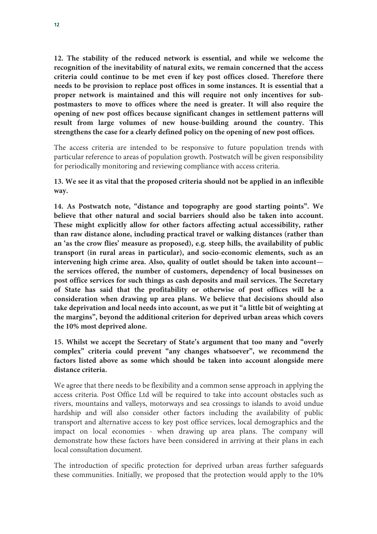**12. The stability of the reduced network is essential, and while we welcome the recognition of the inevitability of natural exits, we remain concerned that the access criteria could continue to be met even if key post offices closed. Therefore there needs to be provision to replace post offices in some instances. It is essential that a proper network is maintained and this will require not only incentives for subpostmasters to move to offices where the need is greater. It will also require the opening of new post offices because significant changes in settlement patterns will result from large volumes of new house-building around the country. This strengthens the case for a clearly defined policy on the opening of new post offices.**

The access criteria are intended to be responsive to future population trends with particular reference to areas of population growth. Postwatch will be given responsibility for periodically monitoring and reviewing compliance with access criteria.

**13. We see it as vital that the proposed criteria should not be applied in an inflexible way.** 

**14. As Postwatch note, "distance and topography are good starting points". We believe that other natural and social barriers should also be taken into account. These might explicitly allow for other factors affecting actual accessibility, rather than raw distance alone, including practical travel or walking distances (rather than an 'as the crow flies' measure as proposed), e.g. steep hills, the availability of public transport (in rural areas in particular), and socio-economic elements, such as an intervening high crime area. Also, quality of outlet should be taken into account the services offered, the number of customers, dependency of local businesses on post office services for such things as cash deposits and mail services. The Secretary of State has said that the profitability or otherwise of post offices will be a consideration when drawing up area plans. We believe that decisions should also take deprivation and local needs into account, as we put it "a little bit of weighting at the margins", beyond the additional criterion for deprived urban areas which covers the 10% most deprived alone.** 

**15. Whilst we accept the Secretary of State's argument that too many and "overly complex" criteria could prevent "any changes whatsoever", we recommend the factors listed above as some which should be taken into account alongside mere distance criteria.** 

We agree that there needs to be flexibility and a common sense approach in applying the access criteria. Post Office Ltd will be required to take into account obstacles such as rivers, mountains and valleys, motorways and sea crossings to islands to avoid undue hardship and will also consider other factors including the availability of public transport and alternative access to key post office services, local demographics and the impact on local economies - when drawing up area plans. The company will demonstrate how these factors have been considered in arriving at their plans in each local consultation document.

The introduction of specific protection for deprived urban areas further safeguards these communities. Initially, we proposed that the protection would apply to the 10%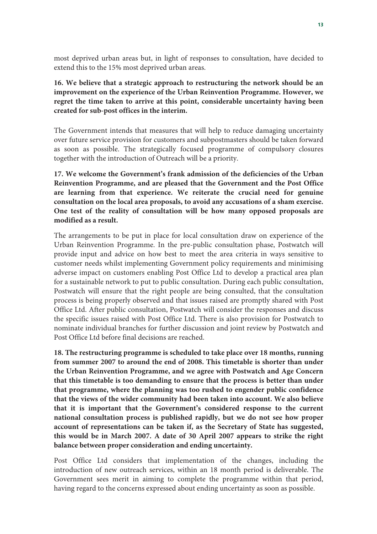most deprived urban areas but, in light of responses to consultation, have decided to extend this to the 15% most deprived urban areas.

**16. We believe that a strategic approach to restructuring the network should be an improvement on the experience of the Urban Reinvention Programme. However, we regret the time taken to arrive at this point, considerable uncertainty having been created for sub-post offices in the interim.** 

The Government intends that measures that will help to reduce damaging uncertainty over future service provision for customers and subpostmasters should be taken forward as soon as possible. The strategically focused programme of compulsory closures together with the introduction of Outreach will be a priority.

**17. We welcome the Government's frank admission of the deficiencies of the Urban Reinvention Programme, and are pleased that the Government and the Post Office are learning from that experience. We reiterate the crucial need for genuine consultation on the local area proposals, to avoid any accusations of a sham exercise. One test of the reality of consultation will be how many opposed proposals are modified as a result.** 

The arrangements to be put in place for local consultation draw on experience of the Urban Reinvention Programme. In the pre-public consultation phase, Postwatch will provide input and advice on how best to meet the area criteria in ways sensitive to customer needs whilst implementing Government policy requirements and minimising adverse impact on customers enabling Post Office Ltd to develop a practical area plan for a sustainable network to put to public consultation. During each public consultation, Postwatch will ensure that the right people are being consulted, that the consultation process is being properly observed and that issues raised are promptly shared with Post Office Ltd. After public consultation, Postwatch will consider the responses and discuss the specific issues raised with Post Office Ltd. There is also provision for Postwatch to nominate individual branches for further discussion and joint review by Postwatch and Post Office Ltd before final decisions are reached.

**18. The restructuring programme is scheduled to take place over 18 months, running from summer 2007 to around the end of 2008. This timetable is shorter than under the Urban Reinvention Programme, and we agree with Postwatch and Age Concern that this timetable is too demanding to ensure that the process is better than under that programme, where the planning was too rushed to engender public confidence that the views of the wider community had been taken into account. We also believe that it is important that the Government's considered response to the current national consultation process is published rapidly, but we do not see how proper account of representations can be taken if, as the Secretary of State has suggested, this would be in March 2007. A date of 30 April 2007 appears to strike the right balance between proper consideration and ending uncertainty.** 

Post Office Ltd considers that implementation of the changes, including the introduction of new outreach services, within an 18 month period is deliverable. The Government sees merit in aiming to complete the programme within that period, having regard to the concerns expressed about ending uncertainty as soon as possible.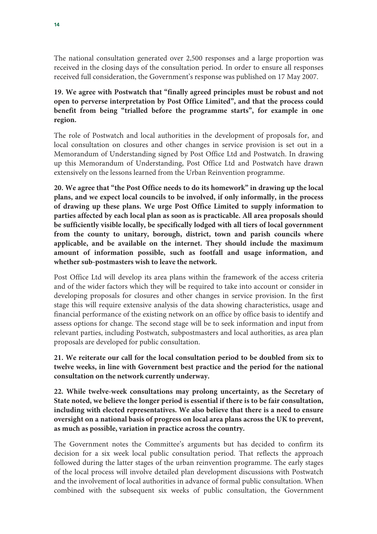The national consultation generated over 2,500 responses and a large proportion was received in the closing days of the consultation period. In order to ensure all responses received full consideration, the Government's response was published on 17 May 2007.

## **19. We agree with Postwatch that "finally agreed principles must be robust and not open to perverse interpretation by Post Office Limited", and that the process could benefit from being "trialled before the programme starts", for example in one region.**

The role of Postwatch and local authorities in the development of proposals for, and local consultation on closures and other changes in service provision is set out in a Memorandum of Understanding signed by Post Office Ltd and Postwatch. In drawing up this Memorandum of Understanding, Post Office Ltd and Postwatch have drawn extensively on the lessons learned from the Urban Reinvention programme.

**20. We agree that "the Post Office needs to do its homework" in drawing up the local plans, and we expect local councils to be involved, if only informally, in the process of drawing up these plans. We urge Post Office Limited to supply information to parties affected by each local plan as soon as is practicable. All area proposals should be sufficiently visible locally, be specifically lodged with all tiers of local government from the county to unitary, borough, district, town and parish councils where applicable, and be available on the internet. They should include the maximum amount of information possible, such as footfall and usage information, and whether sub-postmasters wish to leave the network.** 

Post Office Ltd will develop its area plans within the framework of the access criteria and of the wider factors which they will be required to take into account or consider in developing proposals for closures and other changes in service provision. In the first stage this will require extensive analysis of the data showing characteristics, usage and financial performance of the existing network on an office by office basis to identify and assess options for change. The second stage will be to seek information and input from relevant parties, including Postwatch, subpostmasters and local authorities, as area plan proposals are developed for public consultation.

**21. We reiterate our call for the local consultation period to be doubled from six to twelve weeks, in line with Government best practice and the period for the national consultation on the network currently underway.**

**22. While twelve-week consultations may prolong uncertainty, as the Secretary of State noted, we believe the longer period is essential if there is to be fair consultation, including with elected representatives. We also believe that there is a need to ensure oversight on a national basis of progress on local area plans across the UK to prevent, as much as possible, variation in practice across the country.** 

The Government notes the Committee's arguments but has decided to confirm its decision for a six week local public consultation period. That reflects the approach followed during the latter stages of the urban reinvention programme. The early stages of the local process will involve detailed plan development discussions with Postwatch and the involvement of local authorities in advance of formal public consultation. When combined with the subsequent six weeks of public consultation, the Government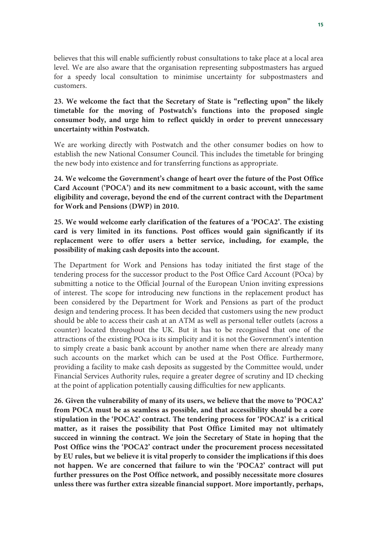believes that this will enable sufficiently robust consultations to take place at a local area level. We are also aware that the organisation representing subpostmasters has argued for a speedy local consultation to minimise uncertainty for subpostmasters and customers.

### **23. We welcome the fact that the Secretary of State is "reflecting upon" the likely timetable for the moving of Postwatch's functions into the proposed single consumer body, and urge him to reflect quickly in order to prevent unnecessary uncertainty within Postwatch.**

We are working directly with Postwatch and the other consumer bodies on how to establish the new National Consumer Council. This includes the timetable for bringing the new body into existence and for transferring functions as appropriate.

**24. We welcome the Government's change of heart over the future of the Post Office Card Account ('POCA') and its new commitment to a basic account, with the same eligibility and coverage, beyond the end of the current contract with the Department for Work and Pensions (DWP) in 2010.**

**25. We would welcome early clarification of the features of a 'POCA2'. The existing card is very limited in its functions. Post offices would gain significantly if its replacement were to offer users a better service, including, for example, the possibility of making cash deposits into the account.** 

The Department for Work and Pensions has today initiated the first stage of the tendering process for the successor product to the Post Office Card Account (POca) by submitting a notice to the Official Journal of the European Union inviting expressions of interest. The scope for introducing new functions in the replacement product has been considered by the Department for Work and Pensions as part of the product design and tendering process. It has been decided that customers using the new product should be able to access their cash at an ATM as well as personal teller outlets (across a counter) located throughout the UK. But it has to be recognised that one of the attractions of the existing POca is its simplicity and it is not the Government's intention to simply create a basic bank account by another name when there are already many such accounts on the market which can be used at the Post Office. Furthermore, providing a facility to make cash deposits as suggested by the Committee would, under Financial Services Authority rules, require a greater degree of scrutiny and ID checking at the point of application potentially causing difficulties for new applicants.

**26. Given the vulnerability of many of its users, we believe that the move to 'POCA2' from POCA must be as seamless as possible, and that accessibility should be a core stipulation in the 'POCA2' contract. The tendering process for 'POCA2' is a critical matter, as it raises the possibility that Post Office Limited may not ultimately succeed in winning the contract. We join the Secretary of State in hoping that the Post Office wins the 'POCA2' contract under the procurement process necessitated by EU rules, but we believe it is vital properly to consider the implications if this does not happen. We are concerned that failure to win the 'POCA2' contract will put further pressures on the Post Office network, and possibly necessitate more closures unless there was further extra sizeable financial support. More importantly, perhaps,**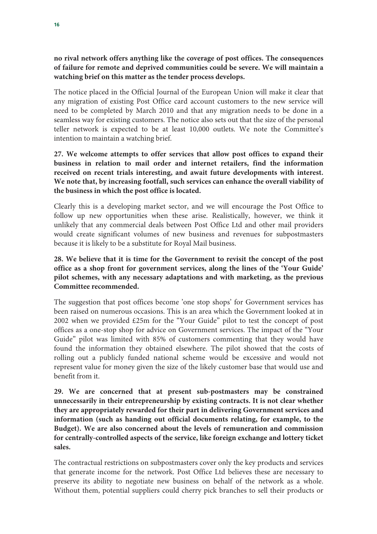### **no rival network offers anything like the coverage of post offices. The consequences of failure for remote and deprived communities could be severe. We will maintain a watching brief on this matter as the tender process develops.**

The notice placed in the Official Journal of the European Union will make it clear that any migration of existing Post Office card account customers to the new service will need to be completed by March 2010 and that any migration needs to be done in a seamless way for existing customers. The notice also sets out that the size of the personal teller network is expected to be at least 10,000 outlets. We note the Committee's intention to maintain a watching brief.

**27. We welcome attempts to offer services that allow post offices to expand their business in relation to mail order and internet retailers, find the information received on recent trials interesting, and await future developments with interest. We note that, by increasing footfall, such services can enhance the overall viability of the business in which the post office is located.** 

Clearly this is a developing market sector, and we will encourage the Post Office to follow up new opportunities when these arise. Realistically, however, we think it unlikely that any commercial deals between Post Office Ltd and other mail providers would create significant volumes of new business and revenues for subpostmasters because it is likely to be a substitute for Royal Mail business.

### **28. We believe that it is time for the Government to revisit the concept of the post office as a shop front for government services, along the lines of the 'Your Guide' pilot schemes, with any necessary adaptations and with marketing, as the previous Committee recommended.**

The suggestion that post offices become 'one stop shops' for Government services has been raised on numerous occasions. This is an area which the Government looked at in 2002 when we provided £25m for the "Your Guide" pilot to test the concept of post offices as a one-stop shop for advice on Government services. The impact of the "Your Guide" pilot was limited with 85% of customers commenting that they would have found the information they obtained elsewhere. The pilot showed that the costs of rolling out a publicly funded national scheme would be excessive and would not represent value for money given the size of the likely customer base that would use and benefit from it.

**29. We are concerned that at present sub-postmasters may be constrained unnecessarily in their entrepreneurship by existing contracts. It is not clear whether they are appropriately rewarded for their part in delivering Government services and information (such as handing out official documents relating, for example, to the Budget). We are also concerned about the levels of remuneration and commission for centrally-controlled aspects of the service, like foreign exchange and lottery ticket sales.** 

The contractual restrictions on subpostmasters cover only the key products and services that generate income for the network. Post Office Ltd believes these are necessary to preserve its ability to negotiate new business on behalf of the network as a whole. Without them, potential suppliers could cherry pick branches to sell their products or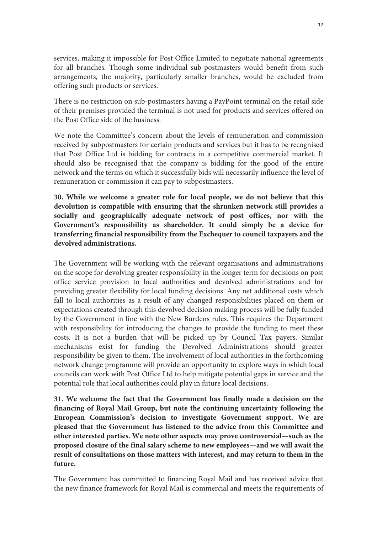services, making it impossible for Post Office Limited to negotiate national agreements for all branches. Though some individual sub-postmasters would benefit from such arrangements, the majority, particularly smaller branches, would be excluded from offering such products or services.

There is no restriction on sub-postmasters having a PayPoint terminal on the retail side of their premises provided the terminal is not used for products and services offered on the Post Office side of the business.

We note the Committee's concern about the levels of remuneration and commission received by subpostmasters for certain products and services but it has to be recognised that Post Office Ltd is bidding for contracts in a competitive commercial market. It should also be recognised that the company is bidding for the good of the entire network and the terms on which it successfully bids will necessarily influence the level of remuneration or commission it can pay to subpostmasters.

**30. While we welcome a greater role for local people, we do not believe that this devolution is compatible with ensuring that the shrunken network still provides a socially and geographically adequate network of post offices, nor with the Government's responsibility as shareholder. It could simply be a device for transferring financial responsibility from the Exchequer to council taxpayers and the devolved administrations.** 

The Government will be working with the relevant organisations and administrations on the scope for devolving greater responsibility in the longer term for decisions on post office service provision to local authorities and devolved administrations and for providing greater flexibility for local funding decisions. Any net additional costs which fall to local authorities as a result of any changed responsibilities placed on them or expectations created through this devolved decision making process will be fully funded by the Government in line with the New Burdens rules. This requires the Department with responsibility for introducing the changes to provide the funding to meet these costs. It is not a burden that will be picked up by Council Tax payers. Similar mechanisms exist for funding the Devolved Administrations should greater responsibility be given to them. The involvement of local authorities in the forthcoming network change programme will provide an opportunity to explore ways in which local councils can work with Post Office Ltd to help mitigate potential gaps in service and the potential role that local authorities could play in future local decisions.

**31. We welcome the fact that the Government has finally made a decision on the financing of Royal Mail Group, but note the continuing uncertainty following the European Commission's decision to investigate Government support. We are pleased that the Government has listened to the advice from this Committee and other interested parties. We note other aspects may prove controversial—such as the proposed closure of the final salary scheme to new employees—and we will await the result of consultations on those matters with interest, and may return to them in the future.**

The Government has committed to financing Royal Mail and has received advice that the new finance framework for Royal Mail is commercial and meets the requirements of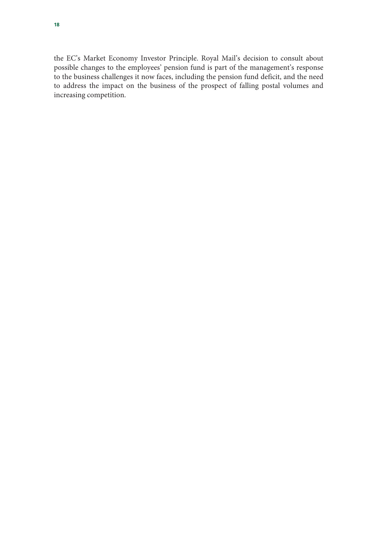the EC's Market Economy Investor Principle. Royal Mail's decision to consult about possible changes to the employees' pension fund is part of the management's response to the business challenges it now faces, including the pension fund deficit, and the need to address the impact on the business of the prospect of falling postal volumes and increasing competition.